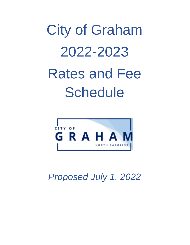# City of Graham 2022-2023 Rates and Fee **Schedule**



*Proposed July 1, 2022*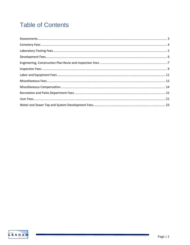# **Table of Contents**

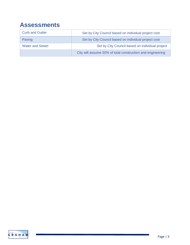# **Assessments**

| <b>Curb and Gutter</b> | Set by City Council based on individual project cost       |
|------------------------|------------------------------------------------------------|
| Paving                 | Set by City Council based on individual project cost       |
| <b>Water and Sewer</b> | Set by City Council based on individual project            |
|                        | City will assume 50% of total construction and engineering |

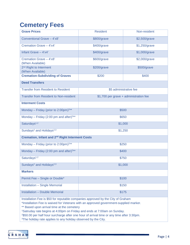# **Cemetery Fees**

| <b>Grave Prices</b>                                                                                                                                                                                                                                                                                                                                                                                                                                                                      | <b>Resident</b>                        | Non-resident |  |  |
|------------------------------------------------------------------------------------------------------------------------------------------------------------------------------------------------------------------------------------------------------------------------------------------------------------------------------------------------------------------------------------------------------------------------------------------------------------------------------------------|----------------------------------------|--------------|--|--|
| Conventional Grave - 4'x8'                                                                                                                                                                                                                                                                                                                                                                                                                                                               | \$800/grave<br>\$2,500/grave           |              |  |  |
| Cremation Grave - 4'x4'                                                                                                                                                                                                                                                                                                                                                                                                                                                                  | \$400/grave<br>\$1,250/grave           |              |  |  |
| Infant Grave - 4'x4'                                                                                                                                                                                                                                                                                                                                                                                                                                                                     | \$400/grave<br>\$1,000/grave           |              |  |  |
| Cremation Grave - 4'x8'<br>(When Available)                                                                                                                                                                                                                                                                                                                                                                                                                                              | \$600/grave<br>\$2,000/grave           |              |  |  |
| 2 <sup>nd</sup> Right to Interment<br>(When Available)                                                                                                                                                                                                                                                                                                                                                                                                                                   | \$200/grave<br>\$500/grave             |              |  |  |
| <b>Cremation-Subdividing of Graves</b>                                                                                                                                                                                                                                                                                                                                                                                                                                                   | \$200                                  | \$400        |  |  |
| <b>Deed Transfers</b>                                                                                                                                                                                                                                                                                                                                                                                                                                                                    |                                        |              |  |  |
| <b>Transfer from Resident to Resident</b>                                                                                                                                                                                                                                                                                                                                                                                                                                                | \$5 administrative fee                 |              |  |  |
| <b>Transfer from Resident to Non-resident</b>                                                                                                                                                                                                                                                                                                                                                                                                                                            | \$1,700 per grave + administration fee |              |  |  |
| <b>Interment Costs</b>                                                                                                                                                                                                                                                                                                                                                                                                                                                                   |                                        |              |  |  |
| Monday - Friday (prior to 2:00pm) <sup>2**</sup>                                                                                                                                                                                                                                                                                                                                                                                                                                         | \$500                                  |              |  |  |
| Monday - Friday (2:00 pm and after) <sup>2**</sup>                                                                                                                                                                                                                                                                                                                                                                                                                                       | \$650                                  |              |  |  |
| Saturdays <sup>1,2</sup>                                                                                                                                                                                                                                                                                                                                                                                                                                                                 | \$1,000                                |              |  |  |
| Sundays <sup>2</sup> and Holidays <sup>2,3</sup>                                                                                                                                                                                                                                                                                                                                                                                                                                         | \$1,250                                |              |  |  |
| <b>Cremation, Infant and 2<sup>nd</sup> Right Interment Costs</b>                                                                                                                                                                                                                                                                                                                                                                                                                        |                                        |              |  |  |
| Monday - Friday (prior to 2:00pm) <sup>2**</sup>                                                                                                                                                                                                                                                                                                                                                                                                                                         | \$250                                  |              |  |  |
| Monday - Friday (2:00 pm and after) <sup>2**</sup>                                                                                                                                                                                                                                                                                                                                                                                                                                       | \$400                                  |              |  |  |
| Saturdays <sup>1,2</sup>                                                                                                                                                                                                                                                                                                                                                                                                                                                                 | \$750                                  |              |  |  |
| Sundays <sup>2</sup> and Holidays <sup>2,3</sup><br>\$1,000                                                                                                                                                                                                                                                                                                                                                                                                                              |                                        |              |  |  |
| <b>Markers</b>                                                                                                                                                                                                                                                                                                                                                                                                                                                                           |                                        |              |  |  |
| Permit Fee - Single or Double*                                                                                                                                                                                                                                                                                                                                                                                                                                                           | \$100                                  |              |  |  |
| <b>Installation - Single Memorial</b>                                                                                                                                                                                                                                                                                                                                                                                                                                                    | \$150                                  |              |  |  |
| <b>Installation - Double Memorial</b><br>\$175                                                                                                                                                                                                                                                                                                                                                                                                                                           |                                        |              |  |  |
| Installation Fee is \$50 for reputable companies approved by the City of Graham<br>*Installation Fee is waived for Veterans with an approved government-supplied marker.<br>** Based upon arrival time at the cemetery<br><sup>1</sup> Satruday rate begins at 4:00pm on Friday and ends at 7:00am on Sunday.<br>2\$50.00 per half hour surcharge after one hour of arrival time or any time after 3:30pm.<br><sup>3</sup> The holiday rate applies to any holiday observed by the City. |                                        |              |  |  |

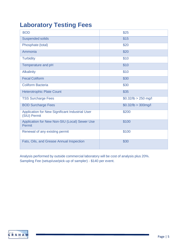# **Laboratory Testing Fees**

| <b>BOD</b>                                                      | \$25                   |
|-----------------------------------------------------------------|------------------------|
| <b>Suspended solids</b>                                         | \$15                   |
| Phosphate (total)                                               | \$20                   |
| Ammonia                                                         | \$20                   |
| <b>Turbidity</b>                                                | \$10                   |
| Temperature and pH                                              | \$10                   |
| <b>Alkalinity</b>                                               | \$10                   |
| <b>Fecal Coliform</b>                                           | \$30                   |
| <b>Coliform Bacteria</b>                                        | \$30                   |
| <b>Heterotrophic Plate Count</b>                                | \$35                   |
| <b>TSS Surcharge Fees</b>                                       | $$0.32$ /lb > 250 mg/l |
| <b>BOD Surcharge Fees</b>                                       | $$0.32/lb > 300$ mg/l  |
| Application for New Significant Industrial User<br>(SIU) Permit | \$200                  |
| Application for New Non-SIU (Local) Sewer Use<br>Permit         | \$100                  |
| Renewal of any existing permit                                  | \$100                  |
| Fats, Oils, and Grease Annual Inspection                        | \$30                   |

Analysis performed by outside commercial laboratory will be cost of analysis plus 20%. Sampling Fee (setup/use/pick-up of sampler) - \$140 per event.

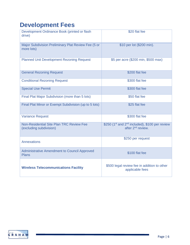# **Development Fees**

| Development Ordinance Book (printed or flash<br>drive)              | \$20 flat fee                                                                                           |
|---------------------------------------------------------------------|---------------------------------------------------------------------------------------------------------|
| Major Subdivision Preliminary Plat Review Fee (5 or<br>more lots)   | \$10 per lot (\$200 min).                                                                               |
| <b>Planned Unit Development Rezoning Request</b>                    | \$5 per acre (\$200 min, \$500 max)                                                                     |
| <b>General Rezoning Request</b>                                     | \$200 flat fee                                                                                          |
| <b>Conditional Rezoning Request</b>                                 | \$300 flat fee                                                                                          |
| <b>Special Use Permit</b>                                           | \$300 flat fee                                                                                          |
| Final Plat Major Subdivision (more than 5 lots)                     | \$50 flat fee                                                                                           |
| Final Plat Minor or Exempt Subdivision (up to 5 lots)               | \$25 flat fee                                                                                           |
| <b>Variance Request</b>                                             | \$300 flat fee                                                                                          |
| Non-Residential Site Plan TRC Review Fee<br>(excluding subdivision) | \$250 (1 <sup>st</sup> and 2 <sup>nd</sup> included), \$100 per review<br>after 2 <sup>nd</sup> review. |
| <b>Annexations</b>                                                  | \$250 per request                                                                                       |
| <b>Administrative Amendment to Council Approved</b><br><b>Plans</b> | \$100 flat fee                                                                                          |
| <b>Wireless Telecommunications Facility</b>                         | \$500 legal review fee in addition to other<br>applicable fees                                          |

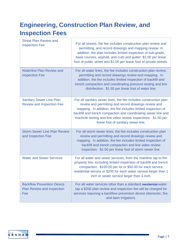# **Engineering, Construction Plan Review, and Inspection Fees**

| <b>Street Plan Review and</b><br><b>Inspection Fee</b>                        | For all streets, the fee includes construction plan review and<br>permitting, and record drawings and mapping review. In<br>addition, the plan includes limited inspection of sub-grade,<br>base courses, asphalt, and curb and gutter: \$2.00 per linear<br>foot of public street and \$1.00 per linear foot of private streets.                                  |
|-------------------------------------------------------------------------------|--------------------------------------------------------------------------------------------------------------------------------------------------------------------------------------------------------------------------------------------------------------------------------------------------------------------------------------------------------------------|
| <b>Waterline Plan Review and</b><br><b>Inspection Fee</b>                     | For all water lines, the fee includes construction plan review,<br>permitting and record drawings review and mapping. In<br>addition, the fee includes limited inspection of backfill and<br>trench compaction and coordinating pressure testing and line<br>disinfection: \$1.50 per linear foot of water line.                                                   |
| <b>Sanitary Sewer Line Plan</b><br><b>Review and Inspection Fee</b>           | For all sanitary sewer lines, the fee includes construction plan<br>review and permitting and record drawings review and<br>mapping. In addition, the fee includes limited inspection of<br>backfill and trench compaction and coordinating sewer line and<br>manhole testing and line video review inspections: \$1.50 per<br>linear foot of sanitary sewer line. |
| <b>Storm Sewer Line Plan Review</b><br>and Inspection Fee                     | For all storm sewer lines, the fee includes construction plan<br>review and permitting and record drawings review and<br>mapping. In addition, the fee includes limited inspection of<br>backfill and trench compaction and line video review<br>inspection: \$1.00 per linear foot of storm sewer line.                                                           |
| <b>Water and Sewer Services</b>                                               | For all water and sewer services, from the mainline tap to the<br>property line, including limited inspection of backfill and trench<br>compaction: \$100.00 per lot or \$50.00 for each service<br>residential service or \$200 for each water service larger than 1<br>inch or sewer service larger than 4 inch.                                                 |
| <b>Backflow Prevention Device</b><br><b>Plan Review and Inspection</b><br>Fee | For all water services other than a standard residential water<br>tap a \$200 plan review and inspection fee will be charged for<br>services requiring a backflow prevention device (domestic, fire,<br>and lawn irrigation).                                                                                                                                      |

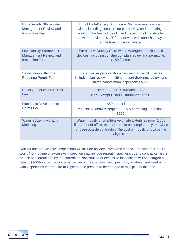| <b>High-Density Stormwater</b><br><b>Management Review and</b><br><b>Inspection Fee</b> | For all High-Density Stormwater Management plans and<br>devices, including construction plan review and permitting. In<br>addition, the fee includes limited inspection of constructed<br>stormwater devices: \$1,000 per device with oone-half payable<br>at the time of plan submittal. |
|-----------------------------------------------------------------------------------------|-------------------------------------------------------------------------------------------------------------------------------------------------------------------------------------------------------------------------------------------------------------------------------------------|
| <b>Low-Density Stormwater</b><br><b>Management Review and</b><br><b>Inspection Fee</b>  | For all Low-Density Stormwater Management plans and<br>devices, including construction plan review and permitting.<br>\$150 flat fee.                                                                                                                                                     |
| <b>Sewer Pump Stations</b><br><b>Requiring Permit Fee</b>                               | For all sewer pump stations requiring a permit. The fee<br>includes plan review, permitting, record drawings review, and<br>limited construction inspection: \$5,000.                                                                                                                     |
| <b>Buffer Authorization Permit</b><br>Fee                                               | Exempt Buffer Disturbance - \$25.<br>Non-Exempt Buffer Disturbance - \$250.                                                                                                                                                                                                               |
| <b>Floodplain Development</b><br><b>Permit Fee</b>                                      | \$50 permit flat fee.<br>Impacts to floodway required FEMA permitting - additional<br>\$250.                                                                                                                                                                                              |
| <b>Water System Hydraulic</b><br><b>Modeling</b>                                        | Water modeling for extensive offsite waterlines (over 1,000<br>linear feet of offsite extension) is to be completed by the City's<br>chosen outside contractor. The cost of modeling is to be the<br>City's cost.                                                                         |

Non-routine or excessive inspections will include holidays, weekend inspections, and after-hours work. Non-routine or excessive inspection may include repeat inspections due to contractor failure or lack of coordination by the contractor. Non-routine or excessive inspections will be charged a rate of \$100/hour per person after the second inspection, re-inspections, holidays, and weekends with inspections that require multiple people present to be charged at multiples of this rate.

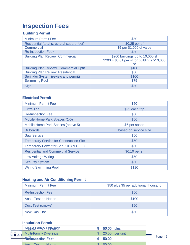# **Inspection Fees**

# **Building Permit**

| <b>Minimum Permit Fee</b>                     | \$50                                                                                 |
|-----------------------------------------------|--------------------------------------------------------------------------------------|
| Residential (total structural square feet)    | \$0.25 per sf                                                                        |
| Commercial                                    | \$5 per \$1,000 of value                                                             |
| Re-inspection Fee <sup>1</sup>                | \$50                                                                                 |
| <b>Building Plan Review, Commercial</b>       | \$200 buildings up to 10,000 sf<br>$$200 + $0.01$ per sf for buildings >10,000<br>sf |
| <b>Building Plan Review, Commercial Upfit</b> | \$100                                                                                |
| <b>Building Plan Review, Residential</b>      | \$50                                                                                 |
| Sprinkler System (review and permit)          | \$100                                                                                |
| <b>Swimming Pool</b>                          | \$75                                                                                 |
| Sign                                          | \$50                                                                                 |

# **Electrical Permit**

| <b>Minimum Permit Fee</b>                      | \$50                  |
|------------------------------------------------|-----------------------|
| <b>Extra Trip</b>                              | \$25 each trip        |
| Re-Inspection Fee <sup>1</sup>                 | \$50                  |
| Mobile Home Park Spaces (1-5)                  | \$50                  |
| Mobile Home Park Spaces (above 5)              | \$6 per space         |
| <b>Billboards</b>                              | based on service size |
| <b>Saw Service</b>                             | \$50                  |
| <b>Temporary Service for Construction Site</b> | \$50                  |
| Temporary Power for Sec. 10.8 N.C.E.C          | \$50                  |
| <b>Residential and Commercial Service</b>      | \$0.10 per sf         |
| <b>Low Voltage Wiring</b>                      | \$50                  |
| <b>Security System</b>                         | \$50                  |
| <b>Wiring Swimming Pool</b>                    | \$110                 |

# **Heating and Air Conditioning Permit**

| <b>Minimum Permit Fee</b>      | \$50 plus \$5 per additional thousand |
|--------------------------------|---------------------------------------|
| Re-Inspection Fee <sup>1</sup> | \$50                                  |
| <b>Ansul Test on Hoods</b>     | \$100                                 |
| Duct Test (smoke)              | \$50                                  |
| <b>New Gas Line</b>            | \$50                                  |

### **Insulation Permit**

|      | <b>StingHouTharmelynQtwredlengs</b> | $$0.00$ plus |                |           |
|------|-------------------------------------|--------------|----------------|-----------|
| GRAH | <b>Multi-Family Dwellings</b>       |              | 20.00 per unit |           |
|      | $Re$ -Inspection Fee <sup>1</sup>   | 50.00        |                | Page $ 9$ |
|      | Aneul Taet on Hoode                 | 100.00       |                |           |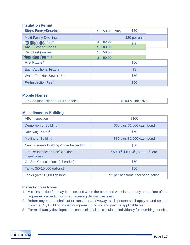### **Insulation Permit**

| <b>Dimoto Frame by DIMENED</b>                              | \$50<br>\$<br>50.00 plus  |
|-------------------------------------------------------------|---------------------------|
| <b>Multi-Family Dwellings</b>                               | \$20 per unit             |
| <b>Re-Inspection Eee:</b><br>Re-Inspection Fee <sup>1</sup> | <b>50.00</b><br>ъ<br>\$50 |
| Ansul Test on Hoods                                         | \$100.00                  |
| Duct Test (smoke)                                           | \$.<br>50.00              |
| Plumbing Permit                                             | \$<br>50.00               |
| First Fixture <sup>3</sup>                                  | \$50                      |
| Each Additional Fixture <sup>3</sup>                        | \$8                       |
| <b>Water Tap Non-Sewer Use</b>                              | \$50                      |
| Re-Inspection Fee <sup>1</sup>                              | \$50                      |

### **Mobile Homes**

| <b>On-Site Inspection for HUD Labeled</b> | \$100 all-inclusive |
|-------------------------------------------|---------------------|
|-------------------------------------------|---------------------|

### **Miscellaneous Building**

| <b>ABC</b> Inspection                                        | \$100                                                          |
|--------------------------------------------------------------|----------------------------------------------------------------|
| <b>Demolition of Building</b>                                | \$60 plus \$1,000 cash bond                                    |
| Driveway Permit <sup>2</sup>                                 | \$50                                                           |
| <b>Moving of Building</b>                                    | \$60 plus \$1,000 cash bond                                    |
| New Business Building & Fire Inspection                      | \$50                                                           |
| Fire Re-Inspection Fee <sup>1</sup> (routine<br>inspections) | \$50-3rd, \$100-4 <sup>th</sup> , \$150-5 <sup>th</sup> , etc. |
| <b>On-Site Consultations (all trades)</b>                    | \$50                                                           |
| Tanks (50-10,000 gallons)                                    | \$50                                                           |
| Tanks (over 10,000 gallons)                                  | \$2 per additional thousand gallon                             |

### **Inspection Fee Notes**

- 1. A re-inspection fee may be assessed when the permitted work is not ready at the time of the requested inspection or when recurring deficiencies exist.
- 2. Before any person shall cut or construct a driveway, such person shall apply to and secure from the City Building Inspector a permit to do so, and pay the applicable fee.
- 3. For multi-family developments, each unit shall be calculated individually for plumbing permits.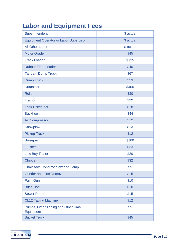# **Labor and Equipment Fees**

| Superintendent                                   | \$ actual |
|--------------------------------------------------|-----------|
| <b>Equipment Operator or Labor Supervisor</b>    | \$ actual |
| <b>All Other Labor</b>                           | \$ actual |
| <b>Motor Grader</b>                              | \$45      |
| <b>Track Loader</b>                              | \$125     |
| <b>Rubber Tired Loader</b>                       | \$40      |
| <b>Tandem Dump Truck</b>                         | \$67      |
| <b>Dump Truck</b>                                | \$53      |
| <b>Dumpster</b>                                  | \$400     |
| <b>Roller</b>                                    | \$30      |
| <b>Tractor</b>                                   | \$22      |
| <b>Tack Distributor</b>                          | \$18      |
| <b>Backhoe</b>                                   | \$44      |
| <b>Air Compressor</b>                            | \$12      |
| Snowplow                                         | \$23      |
| <b>Pickup Truck</b>                              | \$12      |
| <b>Sweeper</b>                                   | \$100     |
| <b>Flusher</b>                                   | \$33      |
| <b>Low Boy Trailer</b>                           | \$20      |
| <b>Chipper</b>                                   | \$32      |
| Chainsaw, Concrete Saw and Tamp                  | \$5       |
| <b>Grinder and Line Remover</b>                  | \$15      |
| <b>Paint Gun</b>                                 | \$10      |
| <b>Bush Hog</b>                                  | \$10      |
| <b>Sewer Roder</b>                               | \$15      |
| <b>CL12 Taping Machine</b>                       | \$12      |
| Pumps, Other Taping and Other Small<br>Equipment | \$5       |
| <b>Bucket Truck</b>                              | \$45      |

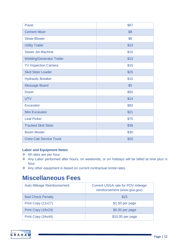| Paver                            | \$67 |
|----------------------------------|------|
| <b>Cement Mixer</b>              | \$8  |
| <b>Straw Blower</b>              | \$8  |
| <b>Utility Trailer</b>           | \$10 |
| <b>Sewer Jet Machine</b>         | \$15 |
| <b>Welding/Generator Trailer</b> | \$15 |
| <b>TV Inspection Camera</b>      | \$15 |
| <b>Skid Steer Loader</b>         | \$25 |
| <b>Hydraulic Breaker</b>         | \$15 |
| <b>Message Board</b>             | \$5  |
| <b>Dozer</b>                     | \$55 |
| <b>UTV</b>                       | \$14 |
| Excavator                        | \$82 |
| <b>Mini Excavator</b>            | \$21 |
| <b>Leaf Picker</b>               | \$75 |
| <b>Tracked Skid Steer</b>        | \$36 |
| <b>Boom Mower</b>                | \$30 |
| <b>Crew Cab Service Truck</b>    | \$20 |

### **Labor and Equipment Notes**

- All rates are per hour.
- Any Labor performed after hours, on weekends, or on holidays will be billed at time plus  $\frac{1}{2}$ hour.
- Any other equipment is based on current contractual rental rates.

# **Miscellaneous Fees**

| <b>Auto Mileage Reimbursement</b> | <b>Current USGA rate for POV mileage</b><br>reimbursement (www.gsa.gov) |
|-----------------------------------|-------------------------------------------------------------------------|
| <b>Bad Check Penalty</b>          | \$25                                                                    |
| Print Copy (11x17)                | $$1.50$ per page                                                        |
| Print Copy (18x24)                | \$5.00 per page                                                         |
| Print Copy (34x44)                | \$10.00 per page                                                        |

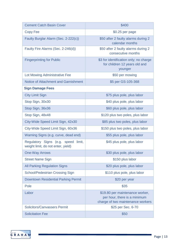| <b>Cement Catch Basin Cover</b>                                           | \$400                                                                                                |
|---------------------------------------------------------------------------|------------------------------------------------------------------------------------------------------|
| <b>Copy Fee</b>                                                           | \$0.25 per page                                                                                      |
| Faulty Burglar Alarm (Sec. 2-222(c))                                      | \$50 after 2 faulty alarms during 2<br>calendar months                                               |
| Faulty Fire Alarms (Sec. 2-246(d))                                        | \$50 after 2 faulty alarms during 2<br>consecutive months                                            |
| <b>Fingerprinting for Public</b>                                          | \$3 for identification only; no charge<br>for children 12 years old and<br>younger                   |
| Lot Mowing Administrative Fee                                             | \$50 per mowing                                                                                      |
| Notice of Attachment and Garnishment                                      | \$5 per GS-105-368                                                                                   |
| <b>Sign Damage Fees</b>                                                   |                                                                                                      |
| <b>City Limit Sign</b>                                                    | \$75 plus pole, plus labor                                                                           |
| Stop Sign, 30x30                                                          | \$40 plus pole, plus labor                                                                           |
| Stop Sign, 36x36                                                          | \$60 plus pole, plus labor                                                                           |
| Stop Sign, 48x48                                                          | \$120 plus two poles, plus labor                                                                     |
| City-Wide Speed Limit Sign, 42x30                                         | \$85 plus two poles, plus labor                                                                      |
| City-Wide Speed Limit Sign, 60x36                                         | \$150 plus two poles, plus labor                                                                     |
| Warning Signs (e.g. curve, dead end)                                      | \$55 plus pole, plus labor                                                                           |
| Regulatory Signs (e.g. speed limit,<br>weight limit, do not enter, yield) | \$45 plus pole, plus labor                                                                           |
| <b>One-Way Arrows</b>                                                     | \$30 plus pole, plus labor                                                                           |
| <b>Street Name Sign</b>                                                   | \$150 plus labor                                                                                     |
| <b>All Parking Regulation Signs</b>                                       | \$20 plus pole, plus labor                                                                           |
| <b>School/Pedestrian Crossing Sign</b>                                    | \$110 plus pole, plus labor                                                                          |
| <b>Downtown Residential Parking Permit</b>                                | \$20 per year                                                                                        |
| Pole                                                                      | \$35                                                                                                 |
| Labor                                                                     | \$19.80 per maintenance worker,<br>per hour, there is a minimum<br>charge of two maintenance workers |
| <b>Solicitors/Canvassers Permit</b>                                       | \$25 per Sec. 6-70                                                                                   |
| <b>Solicitation Fee</b>                                                   | \$50                                                                                                 |

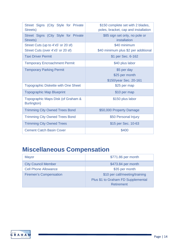| Street Signs (City Style for Private<br>Streets)  | \$150 complete set with 2 blades,<br>poles, bracket, cap and installation |  |
|---------------------------------------------------|---------------------------------------------------------------------------|--|
| Street Signs (City Style for Private<br>Streets)  | \$85 sign set only, no pole or<br>installation                            |  |
| Street Cuts (up to 4'x5' or 20 sf)                | \$40 minimum                                                              |  |
| Street Cuts (over 4'x5' or 20 sf)                 | \$40 minimum plus \$2 per additional                                      |  |
| <b>Taxi Driver Permit</b>                         | \$1 per Sec. 6-162                                                        |  |
| <b>Temporary Encroachment Permit</b>              | \$40 plus labor                                                           |  |
| <b>Temporary Parking Permit</b>                   | \$5 per day                                                               |  |
|                                                   | \$25 per month                                                            |  |
|                                                   | \$150/year Sec. 20-161                                                    |  |
| <b>Topographic Diskette with One Sheet</b>        | \$25 per map                                                              |  |
| <b>Topographic Map Blueprint</b>                  | \$10 per map                                                              |  |
| Topographic Maps Disk (of Graham &<br>Burlington) | \$150 plus labor                                                          |  |
| <b>Trimming City Owned Trees Bond</b>             | \$50,000 Property Damage                                                  |  |
| <b>Trimming City Owned Trees Bond</b>             | \$50 Personal Injury                                                      |  |
| <b>Trimming City Owned Trees</b>                  | \$15 per Sec. 10-63                                                       |  |
| <b>Cement Catch Basin Cover</b>                   | \$400                                                                     |  |

# **Miscellaneous Compensation**

| Mayor                         | \$771.86 per month                 |  |
|-------------------------------|------------------------------------|--|
| <b>City Council Member</b>    | \$473.84 per month                 |  |
| <b>Cell Phone Allowance</b>   | \$35 per month                     |  |
| <b>Firemen's Compensation</b> | \$10 per call/meeting/training     |  |
|                               | Plus \$1 to Graham FD Supplemental |  |
|                               | Retirement                         |  |

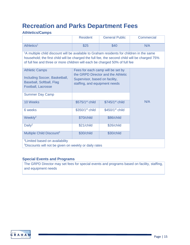# **Recreation and Parks Department Fees**

### **Athletics/Camps**

|                                                                                                                                                                                                                                                                                       | <b>Resident</b>                                                                                                                            | <b>General Public</b>       | <b>Commercial</b> |
|---------------------------------------------------------------------------------------------------------------------------------------------------------------------------------------------------------------------------------------------------------------------------------------|--------------------------------------------------------------------------------------------------------------------------------------------|-----------------------------|-------------------|
| Athletics <sup>1</sup>                                                                                                                                                                                                                                                                | \$25                                                                                                                                       | \$40                        | N/A               |
| <sup>1</sup> A multiple child discount will be available to Graham residents for children in the same<br>household; the first child will be charged the full fee, the second child will be charged 75%<br>of full fee and three or more children will each be charged 50% of full fee |                                                                                                                                            |                             |                   |
| <b>Athletic Camps</b><br>Including Soccer, Basketball,<br>Baseball, Softball, Flag<br><b>Football, Lacrosse</b>                                                                                                                                                                       | Fees for each camp will be set by<br>the GRPD Director and the Athletic<br>Supervisor, based on facility,<br>staffing, and equipment needs |                             |                   |
| <b>Summer Day Camp</b>                                                                                                                                                                                                                                                                |                                                                                                                                            |                             |                   |
| 10 Weeks                                                                                                                                                                                                                                                                              | \$575/1 <sup>st</sup> child                                                                                                                | $$745/1st$ child            | N/A               |
| 6 weeks                                                                                                                                                                                                                                                                               | \$350/1 <sup>st</sup> child                                                                                                                | \$450/1 <sup>st</sup> child |                   |
| Weekly <sup>2</sup>                                                                                                                                                                                                                                                                   | \$70/child                                                                                                                                 | \$86/child                  |                   |
| Daily <sup>2</sup>                                                                                                                                                                                                                                                                    | \$21/child                                                                                                                                 | \$26/child                  |                   |
| Multiple Child Discount <sup>3</sup>                                                                                                                                                                                                                                                  | \$30/child                                                                                                                                 | \$30/child                  |                   |
| <sup>2</sup> Limited based on availability<br><sup>3</sup> Discounts will not be given on weekly or daily rates                                                                                                                                                                       |                                                                                                                                            |                             |                   |

### **Special Events and Programs**

The GRPD Director may set fees for special events and programs based on facility, staffing, and equipment needs

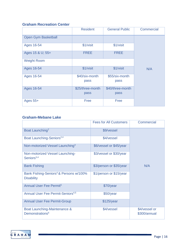### **Graham Recreation Center**

|                            | <b>Resident</b>        | <b>General Public</b>  | Commercial |
|----------------------------|------------------------|------------------------|------------|
| <b>Open Gym Basketball</b> |                        |                        |            |
| Ages 16-54                 | \$1/visit              | \$1/visit              |            |
| Ages 15 & U; 55+           | <b>FREE</b>            | <b>FREE</b>            |            |
| <b>Weight Room</b>         |                        |                        |            |
| Ages 16-54                 | \$1/visit              | \$1/visit              | N/A        |
| Ages 16-54                 | \$40/six-month<br>pass | \$55/six-month<br>pass |            |
| Ages 16-54                 | \$25/three-month       | \$40/three-month       |            |
|                            | pass                   | pass                   |            |
| Ages $55+$                 | Free                   | Free                   |            |

### **Graham-Mebane Lake**

|                                                                         | <b>Fees for All Customers</b> | Commercial                    |
|-------------------------------------------------------------------------|-------------------------------|-------------------------------|
| Boat Launching <sup>2</sup>                                             | \$9/vessel                    |                               |
| Boat Launching-Seniors <sup>2,4</sup>                                   | \$4/vessel                    |                               |
| Non-motorized Vessel Launching <sup>3</sup>                             | \$6/vessel or \$45/year       |                               |
| Non-motorized Vessel Launching-<br>Seniors <sup>3,4</sup>               | \$3/vessel or \$30/year       |                               |
| <b>Bank Fishing</b>                                                     | \$3/person or \$35/year       | N/A                           |
| Bank Fishing-Seniors <sup>4</sup> & Persons w/100%<br><b>Disability</b> | \$1/person or \$15/year       |                               |
| Annual User Fee Permit <sup>5</sup>                                     | \$70/year                     |                               |
| <b>Annual User Fee Permit-Seniors</b> <sup>4,5</sup>                    | \$50/year                     |                               |
| <b>Annual User Fee Permit-Group</b>                                     | \$125/year                    |                               |
| Boat Launching-Maintenance &<br>Demonstrations <sup>6</sup>             | \$4/vessel                    | \$4/vessel or<br>\$300/annual |

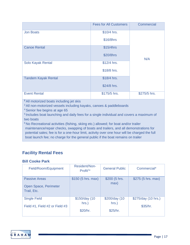|                            | <b>Fees for All Customers</b> | Commercial   |
|----------------------------|-------------------------------|--------------|
| <b>Jon Boats</b>           | \$10/4 hrs.                   |              |
|                            | \$16/8hrs                     |              |
| <b>Canoe Rental</b>        | \$15/4hrs                     |              |
|                            | \$20/8hrs                     | N/A          |
| Solo Kayak Rental          | $$12/4$ hrs.                  |              |
|                            | \$18/8 hrs.                   |              |
| <b>Tandem Kayak Rental</b> | \$18/4 hrs.                   |              |
|                            | \$24/8 hrs.                   |              |
| <b>Event Rental</b>        | \$175/5 hrs.                  | \$275/5 hrs. |

**<sup>2</sup>**All motorized boats including jet skis

<sup>3</sup> All non-motorized vessels including kayaks, canoes & paddleboards

4 Senior fee begins at age 65

5 Includes boat launching and daily fees for a single individual and covers a maximum of two boats

<sup>6</sup> No Recreational activities (fishing, skiing etc.) allowed; for boat and/or trailer maintenance/repair checks, swapping of boats and trailers, and all demonstrations for potential sales; fee is for a one-hour limit, activity over one hour will be charged the full boat launch fee; no charge for the general public if the boat remains on trailer

# **Facility Rental Fees**

### **Bill Cooke Park**

| Field/Room/Equipment                                         | Resident/Non-<br>Profit <sup>1</sup> | <b>General Public</b>              | Commercial*                     |
|--------------------------------------------------------------|--------------------------------------|------------------------------------|---------------------------------|
| <b>Passive Areas</b><br>Open Space, Perimeter<br>Trail, Etc. | $$150$ (5 hrs. max)                  | \$200 (5 hrs.<br>max)              | \$275 (5 hrs. max)              |
| <b>Single Field</b><br>Field #1, Field #2 or Field #3        | \$150/day (10<br>hrs.)<br>\$20/hr.   | \$200/day (10<br>hrs.)<br>\$25/hr. | \$275/day (10 hrs.)<br>\$35/hr. |

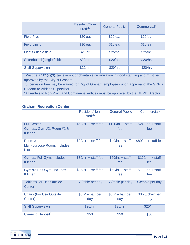|                                | Resident/Non-<br>Profit <sup>1*</sup> | <b>General Public</b> | Commercial* |
|--------------------------------|---------------------------------------|-----------------------|-------------|
| <b>Field Prep</b>              | \$20 ea.                              | \$20 ea.              | \$20/ea.    |
| <b>Field Lining</b>            | \$10 ea.                              | \$10 ea.              | \$10 ea.    |
| Lights (single field)          | \$25/hr.                              | \$25/hr.              | \$25/hr.    |
| Scoreboard (single field)      | \$20/hr.                              | \$20/hr.              | \$20/hr.    |
| Staff Supervision <sup>2</sup> | \$20/hr.                              | \$20/hr.              | \$20/hr.    |

1 Must be a 501(c)(3), tax exempt or charitable organization in good standing and must be approved by the City of Graham

<sup>2</sup>Supervision Fee may be waived for City of Graham employees upon approval of the GRPD Director or Athletic Supervisor

**\***All rentals to Non-Profit and Commercial entities must be approved by the GRPD Director

### **Graham Recreation Center**

|                                                                   | Resident/Non-<br>Profit <sup>1</sup> | <b>General Public</b>     | Commercial*               |
|-------------------------------------------------------------------|--------------------------------------|---------------------------|---------------------------|
| <b>Full Center</b><br>Gym #1, Gym #2, Room #1 &<br><b>Kitchen</b> | $$60/hr. + staff fee$                | $$120/hr. + staff$<br>fee | $$240/hr. + staff$<br>fee |
| Room #1<br>Multi-purpose Room, Includes<br><b>Kitchen</b>         | $$20/hr. + staff fee$                | $$40/hr. + staff$<br>fee  | $$80/hr. + staff fee$     |
| Gym #1-Full Gym, Includes<br>Kitchen                              | $$30/hr. + staff fee$                | $$60/hr. + staff$<br>fee  | $$120/hr. + staff$<br>fee |
| Gym #2-Half Gym, Includes<br><b>Kitchen</b>                       | $$25/hr. + staff fee$                | $$50/hr. + staff$<br>fee  | $$100/hr. + staff$<br>fee |
| Tables <sup>3</sup> (For Use Outside<br>Center)                   | \$3/table per day                    | \$3/table per day         | \$3/table per day         |
| <b>Chairs (For Use Outside</b><br>Center)                         | \$0.25/chair per<br>day              | \$0.25/chair per<br>day   | \$0.25/chair per<br>day   |
| Staff Supervision <sup>2</sup>                                    | \$20/hr.                             | \$20/hr.                  | \$20/hr.                  |
| Cleaning Deposit <sup>5</sup>                                     | \$50                                 | \$50                      | \$50                      |

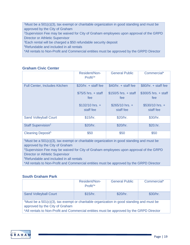1 Must be a 501(c)(3), tax exempt or charitable organization in good standing and must be approved by the City of Graham

<sup>2</sup>Supervision Fee may be waived for City of Graham employees upon approval of the GRPD Director or Athletic Supervisor

<sup>3</sup>Each rental will be charged a \$50 refundable security deposit

5 Refundable and included in all rentals

\*All rentals to Non-Profit and Commercial entities must be approved by the GRPD Director

### **Graham Civic Center**

|                                                                                             | Resident/Non-<br>Profit <sup>1*</sup>                        | <b>General Public</b>                                         | Commercial*                                                   |
|---------------------------------------------------------------------------------------------|--------------------------------------------------------------|---------------------------------------------------------------|---------------------------------------------------------------|
| <b>Full Center, Includes Kitchen</b>                                                        | $$20/hr. + staff fee$                                        | $$40/hr. + staff fee$                                         | $$80/hr. + staff fee$                                         |
|                                                                                             | $$75/5$ hrs. + staff<br>fee<br>$$132/10$ hrs. +<br>staff fee | $$150/5$ hrs. + staff<br>fee<br>$$265/10$ hrs. +<br>staff fee | $$300/5$ hrs. + staff<br>fee<br>$$530/10$ hrs. +<br>staff fee |
|                                                                                             |                                                              |                                                               |                                                               |
| <b>Sand Volleyball Court</b>                                                                | \$15/hr.                                                     | \$20/hr.                                                      | \$30/hr.                                                      |
| Staff Supervision <sup>2</sup>                                                              | \$20/hr.                                                     | \$20/hr.                                                      | \$20.hr.                                                      |
| Cleaning Deposit <sup>5</sup>                                                               | \$50                                                         | \$50                                                          | \$50                                                          |
| $1$ Must be a 501(c)(3), tax exempt or charitable organization in good standing and must be |                                                              |                                                               |                                                               |

approved by the City of Graham

<sup>2</sup>Supervision Fee may be waived for City of Graham employees upon approval of the GRPD Director or Athletic Supervisor

5 Refundable and included in all rentals

\*All rentals to Non-Profit and Commercial entities must be approved by the GRPD Director

### **South Graham Park**

|                                                                                                                                                                                                                                        | Resident/Non-<br>Profit <sup>1</sup> | <b>General Public</b> | Commercial* |
|----------------------------------------------------------------------------------------------------------------------------------------------------------------------------------------------------------------------------------------|--------------------------------------|-----------------------|-------------|
| <b>Sand Volleyball Court</b>                                                                                                                                                                                                           | \$15/hr.                             | \$20/hr.              | \$30/hr.    |
| <sup>1</sup> Must be a 501 $(c)(3)$ , tax exempt or charitable organization in good standing and must be<br>approved by the City of Graham<br>*All rentals to Non-Profit and Commercial entities must be approved by the GRPD Director |                                      |                       |             |

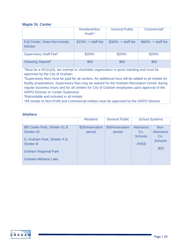#### **Maple St. Center**

|                                                 | Resident/Non-<br>$Profit1*$ | <b>General Public</b> | Commercial*           |
|-------------------------------------------------|-----------------------------|-----------------------|-----------------------|
| <b>Full Center, Does Not Include</b><br>Kitchen | $$15/hr. + staff fee$       | $$30/hr. + staff fee$ | $$60/hr. + staff fee$ |
| <b>Supervisory Staff Fee</b> <sup>4</sup>       | \$20/hr.                    | \$20/hr.              | \$20/hr.              |
| Cleaning Deposit <sup>5</sup>                   | \$50                        | \$50                  | \$50                  |

<sup>1</sup>Must be a 501(c)(3), tax exempt or charitable organization in good standing and must be approved by the City of Graham

4 Supervisory fees must be paid for all centers. An additional hour will be added to all rentals for facility preparations. Supervisory fees may be waived for the Graham Recreation Center during regular business hours and for all centers for City of Graham employees upon approval of the GRPD Director or Center Supervisor

5 Refundable and included in all rentals

\*All rentals to Non-Profit and Commercial entities must be approved by the GRPD Director

### **Shelters**

|                                                                                                                                                            | <b>Resident</b>            | <b>General Public</b>      |                                                   | <b>School Systems</b>                               |
|------------------------------------------------------------------------------------------------------------------------------------------------------------|----------------------------|----------------------------|---------------------------------------------------|-----------------------------------------------------|
| Bill Cooke Park, Shelter #1 &<br>Shelter #2<br>S. Graham Park, Shelter A &<br><b>Shelter B</b><br><b>Graham Regional Park</b><br><b>Graham-Mebane Lake</b> | \$25/reservation<br>period | \$50/reservation<br>period | <b>Alamance</b><br>Co.<br><b>Schools</b><br>-FREE | Non-<br>Alamance<br>Co.<br><b>Schools</b><br>$-$20$ |

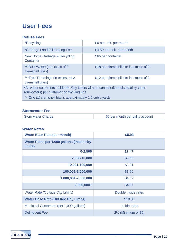# **User Fees**

### **Refuse Fees**

| <i><b>*Recycling</b></i>                                                                                                                                                                      | \$6 per unit, per month                |
|-----------------------------------------------------------------------------------------------------------------------------------------------------------------------------------------------|----------------------------------------|
| *Garbage Land Fill Tipping Fee                                                                                                                                                                | \$4.50 per unit, per month             |
| New Home Garbage & Recycling<br>Container                                                                                                                                                     | \$65 per container                     |
| ***Bulk Waste (in excess of 2<br>clamshell bites)                                                                                                                                             | \$18 per clamshell bite in excess of 2 |
| ***Tree Trimmings (in excess of 2)<br>clamshell bites)                                                                                                                                        | \$12 per clamshell bite in excess of 2 |
| *All water customers inside the City Limits without containerized disposal systems<br>(dumpsters) per customer or dwelling unit<br>***One (1) clamshell bite is approximately 1.5 cubic yards |                                        |

### **Stormwater Fee**

| Stormwater Charge | \$2 per month per utility account |
|-------------------|-----------------------------------|
|-------------------|-----------------------------------|

### **Water Rates**

| <b>Water Base Rate (per month)</b>                    | \$5.03              |
|-------------------------------------------------------|---------------------|
| Water Rates per 1,000 gallons (inside city<br>limits) |                     |
| $0 - 2,500$                                           | \$3.47              |
| 2,500-10,000                                          | \$3.85              |
| 10,001-100,000                                        | \$3.91              |
| 100,001-1,000,000                                     | \$3.96              |
| 1,000,001-2,000,000                                   | \$4.02              |
| 2,000,000+                                            | \$4.07              |
| <b>Water Rate (Outside City Limits)</b>               | Double inside rates |
| <b>Water Base Rate (Outside City Limits)</b>          | \$10.06             |
| Municipal Customers (per 1,000 gallons)               | Inside rates        |
| <b>Delinquent Fee</b>                                 | 2% (Minimum of \$5) |

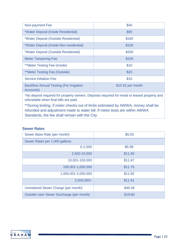| Non-payment Fee                                             | \$40              |
|-------------------------------------------------------------|-------------------|
| *Water Deposit (Inside Residential)                         | \$80              |
| *Water Deposit (Outside Residential)                        | \$160             |
| *Water Deposit (Inside Non-residential)                     | \$100             |
| *Water Deposit (Outside Residential)                        | \$200             |
| <b>Meter Tampering Fee</b>                                  | \$100             |
| <b>**Meter Testing Fee (Inside)</b>                         | \$10              |
| <i>**Meter Testing Fee (Outside)</i>                        | \$20              |
| <b>Service Initiation Fee</b>                               | \$10              |
| <b>Backflow Annual Testing (For Irrigation</b><br>Accounts) | \$10.42 per month |

\*No deposit required for property owners. Deposits required for rental or leased property and refundable when final bills are paid.

\*\*During testing, if meter checks out of limits estimated by AWWA, money shall be refunded and adjustment made to water bill. If meter tests are within AWWA Standards, the fee shall remain with the City.

#### **Sewer Rates**

| Sewer Base Rate (per month)              | \$5.03  |
|------------------------------------------|---------|
| Sewer Rates per 1,000 gallons:           |         |
| $0 - 2,500$                              | \$5.99  |
| 2,500-10,000                             | \$11.60 |
| 10,001-100,000                           | \$11.67 |
| 100,001-1,000,000                        | \$11.75 |
| 1,000,001-2,000,000                      | \$11.82 |
| $2,000,000+$                             | \$11.91 |
| Unmetered Sewer Charge (per month)       | \$46.56 |
| Outside User Sewer Surcharge (per month) | \$19.80 |

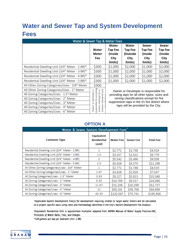# **Water and Sewer Tap and System Development Fees**

| Water & Sewer Tap & Meter Fees                 |                                                                        |                                                                                      |                                                        |                                                       |                                                              |
|------------------------------------------------|------------------------------------------------------------------------|--------------------------------------------------------------------------------------|--------------------------------------------------------|-------------------------------------------------------|--------------------------------------------------------------|
|                                                | Water<br><b>Meter</b><br><b>Fee</b>                                    | Water<br><b>Tap Fee</b><br>(Inside<br>City<br>limits)                                | Water<br><b>Tap Fee</b><br>(Outside<br>City<br>limits) | Sewer<br><b>Tap Fee</b><br>(Inside<br>City<br>limits) | <b>Sewer</b><br><b>Tap Fee</b><br>(Inside<br>City<br>limits) |
| Residential Dwelling Unit (3/4" Meter - 2 BR)* | \$300                                                                  | \$1,000                                                                              | \$2,000                                                | \$1,000                                               | \$2,000                                                      |
| Residential Dwelling Unit (3/4" Meter - 3 BR)* | \$300                                                                  | \$1,000                                                                              | \$2,000                                                | \$1,000                                               | \$2,000                                                      |
| Residential Dwelling Unit (3/4" Meter - 4 BR)* | \$300                                                                  | \$1,000                                                                              | \$2,000                                                | \$1,000                                               | \$2,000                                                      |
| Residential Dwelling Unit (3/4" Meter - 5 BR)* | \$300                                                                  | \$1,000                                                                              | \$2,000                                                | \$1,000                                               | \$2,000                                                      |
| All Other Zoning Categories/Uses - 3/4" Meter  | \$300                                                                  | Owner or Developer is responsible for                                                |                                                        |                                                       |                                                              |
| All Other Zoning Categories/Uses - 1" Meter    | $\sum_{i=1}^{n}$                                                       |                                                                                      |                                                        |                                                       |                                                              |
| All Zoning Categories/Uses - 1.5" Meter        | Developer is<br>$\sigma$                                               |                                                                                      | providing taps for all other types, sizes and          |                                                       |                                                              |
| All Zoning Categories/Uses - 2" Meter          | Standards                                                              |                                                                                      | zoning classifications except for fire                 |                                                       |                                                              |
| All Zoning Categories/Uses - 3" Meter          | ð                                                                      | suppression taps in the #1 fire district where<br>taps will be provided by the City. |                                                        |                                                       |                                                              |
| All Zoning Categories/Uses - 4" Meter          | responsible for providing<br>meters meeting City or<br>Graham<br>Owner |                                                                                      |                                                        |                                                       |                                                              |
| All Zoning Categories/Uses - 6" Meter          |                                                                        |                                                                                      |                                                        |                                                       |                                                              |

# **OPTION A**

| Water & Sewer System Development Fees <sup>7</sup> |                                                  |                    |                  |                  |  |  |
|----------------------------------------------------|--------------------------------------------------|--------------------|------------------|------------------|--|--|
| <b>Customer Type</b>                               | <b>Equivalent</b><br><b>Residential</b><br>Unit‡ | <b>Water Fee I</b> | <b>Sewer Fee</b> | <b>Total Fee</b> |  |  |
| Residential Dwelling Unit (3/4" Meter - 2 BR)      | 1                                                | \$2,771            | \$1,748          | \$4,519          |  |  |
| Residential Dwelling Unit (3/4" Meter - 3 BR)      | $1.5\,$                                          | \$4,157            | \$2,622          | \$6,779          |  |  |
| Residential Dwelling Unit (3/4" Meter - 4 BR)      | 2                                                | \$5,542            | \$3,496          | \$9,038          |  |  |
| Residential Dwelling Unit (3/4" Meter - 5 BR)      | 2.5                                              | \$6,928            | \$4,370          | \$11,298         |  |  |
| All Other Zoning Categories/Uses - 3/4" Meter      | 1                                                | \$2,771            | \$1,748          | \$4,519          |  |  |
| All Other Zoning Categories/Uses - 1" Meter        | 1.67                                             | \$4,628            | \$2,919          | \$7,547          |  |  |
| All Zoning Categories/Uses - 1.5" Meter            | 3.33                                             | \$9,227            | \$5,821          | \$15,048         |  |  |
| All Zoning Categories/Uses - 2" Meter              | 5.33                                             | \$14,769           | \$9,317          | \$24,086         |  |  |
| All Zoning Categories/Uses - 3" Meter              | 11.67                                            | \$32,338           | \$20,399         | \$52,737         |  |  |
| All Zoning Categories/Uses - 4" Meter              | 21                                               | \$58,191           | \$36,708         | \$94,899         |  |  |
| All Zoning Categories/Uses - 6" Meter              | 43.33                                            | \$120,067          | \$75,741         | \$195,808        |  |  |

+Applicable System Development Fee(s) for development requiring smaller or larger water meters will be calculated on a project specific basis using rates and methodology identified in the City's System Development Fee Analysis.

#Equivalent Residential Unit is approximate multiplier adapted from AWWA Manual of Water Supply Practices-M1, Principles of Water Rates, Fees, and Charges.

\*120 gallons per day per bedroom (min. 2-BR)

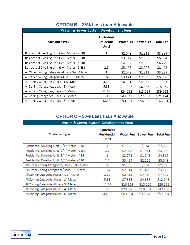| Water & Sewer System Development Fees         |                                           |                  |                  |                  |  |  |
|-----------------------------------------------|-------------------------------------------|------------------|------------------|------------------|--|--|
| <b>Customer Type</b>                          | Equivalent<br><b>Residential</b><br>Unit‡ | <b>Water Fee</b> | <b>Sewer Fee</b> | <b>Total Fee</b> |  |  |
| Residential Dwelling Unit (3/4" Meter - 2 BR) | 1                                         | \$2,078          | \$1,311          | \$3,389          |  |  |
| Residential Dwelling Unit (3/4" Meter - 3 BR) | 1.5                                       | \$3,117          | \$1,967          | \$5,084          |  |  |
| Residential Dwelling Unit (3/4" Meter - 4 BR) | 2                                         | \$4,157          | \$2,622          | \$6,779          |  |  |
| Residential Dwelling Unit (3/4" Meter - 5 BR) | 2.5                                       | \$5,196          | \$3,278          | \$8,473          |  |  |
| All Other Zoning Categories/Uses - 3/4" Meter | 1                                         | \$2,078          | \$1,311          | \$3,389          |  |  |
| All Other Zoning Categories/Uses - 1" Meter   | 1.67                                      | \$3,471          | \$2,189          | \$5,660          |  |  |
| All Zoning Categories/Uses - 1.5" Meter       | 3.33                                      | \$6,921          | \$4,366          | \$11,286         |  |  |
| All Zoning Categories/Uses - 2" Meter         | 5.33                                      | \$11,077         | \$6,988          | \$18,065         |  |  |
| All Zoning Categories/Uses - 3" Meter         | 11.67                                     | \$24,253         | \$15,299         | \$39,553         |  |  |
| All Zoning Categories/Uses - 4" Meter         | 21                                        | \$43,643         | \$27,531         | \$71,174         |  |  |
| All Zoning Categories/Uses - 6" Meter         | 43.33                                     | \$90,051         | \$56,806         | \$146,856        |  |  |

# **OPTION B – 25% Less than Allowable**

## **OPTION C – 50% Less than Allowable**

| Water & Sewer System Development Fees         |                                                  |             |                  |                  |  |  |
|-----------------------------------------------|--------------------------------------------------|-------------|------------------|------------------|--|--|
| <b>Customer Type</b>                          | <b>Equivalent</b><br><b>Residential</b><br>Unit‡ | Water Fee l | <b>Sewer Fee</b> | <b>Total Fee</b> |  |  |
| Residential Dwelling Unit (3/4" Meter - 2 BR) | 1                                                | \$1,386     | \$874            | \$2,260          |  |  |
| Residential Dwelling Unit (3/4" Meter - 3 BR) | $1.5\,$                                          | \$2,078     | \$1,311          | \$3,389          |  |  |
| Residential Dwelling Unit (3/4" Meter - 4 BR) | 2                                                | \$2,771     | \$1,748          | \$4,519          |  |  |
| Residential Dwelling Unit (3/4" Meter - 5 BR) | 2.5                                              | \$3,464     | \$2,185          | \$5,649          |  |  |
| All Other Zoning Categories/Uses - 3/4" Meter | 1                                                | \$1,386     | \$874            | \$2,260          |  |  |
| All Other Zoning Categories/Uses - 1" Meter   | 1.67                                             | \$2,314     | \$1,460          | \$3,773          |  |  |
| All Zoning Categories/Uses - 1.5" Meter       | 3.33                                             | \$4,614     | \$2,910          | \$7,524          |  |  |
| All Zoning Categories/Uses - 2" Meter         | 5.33                                             | \$7,385     | \$4,658          | \$12,043         |  |  |
| All Zoning Categories/Uses - 3" Meter         | 11.67                                            | \$16,169    | \$10,200         | \$26,368         |  |  |
| All Zoning Categories/Uses - 4" Meter         | 21                                               | \$29,096    | \$18,354         | \$47,450         |  |  |
| All Zoning Categories/Uses - 6" Meter         | 43.33                                            | \$60,034    | \$37,870         | \$97,904         |  |  |